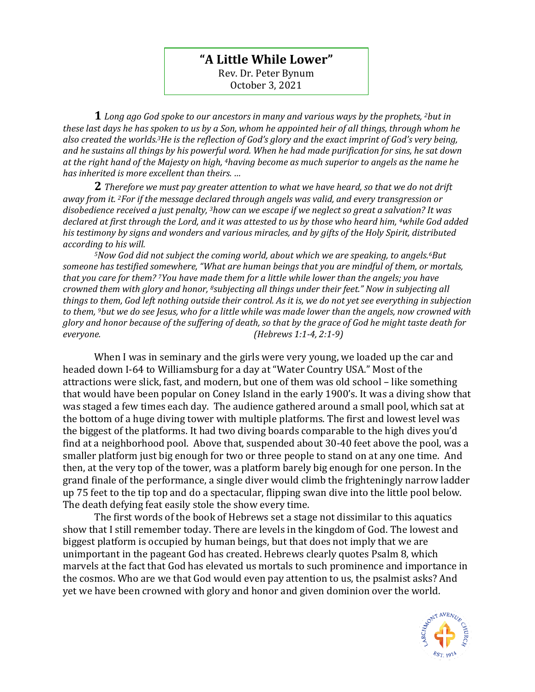## **"A Little While Lower"**

Rev. Dr. Peter Bynum October 3, 2021

**1** *Long ago God spoke to our ancestors in many and various ways by the prophets, <sup>2</sup>but in these last days he has spoken to us by a Son, whom he appointed heir of all things, through whom he also created the worlds.3He is the reflection of God's glory and the exact imprint of God's very being, and he sustains all things by his powerful word. When he had made purification for sins, he sat down at the right hand of the Majesty on high, 4having become as much superior to angels as the name he has inherited is more excellent than theirs. …*

**2** *Therefore we must pay greater attention to what we have heard, so that we do not drift away from it. <sup>2</sup>For if the message declared through angels was valid, and every transgression or disobedience received a just penalty, <sup>3</sup>how can we escape if we neglect so great a salvation? It was declared at first through the Lord, and it was attested to us by those who heard him, <sup>4</sup>while God added his testimony by signs and wonders and various miracles, and by gifts of the Holy Spirit, distributed according to his will.*

*<sup>5</sup>Now God did not subject the coming world, about which we are speaking, to angels.6But someone has testified somewhere, "What are human beings that you are mindful of them, or mortals, that you care for them? <sup>7</sup>You have made them for a little while lower than the angels; you have crowned them with glory and honor, <sup>8</sup>subjecting all things under their feet." Now in subjecting all things to them, God left nothing outside their control. As it is, we do not yet see everything in subjection to them, <sup>9</sup>but we do see Jesus, who for a little while was made lower than the angels, now crowned with glory and honor because of the suffering of death, so that by the grace of God he might taste death for everyone. (Hebrews 1:1-4, 2:1-9)*

When I was in seminary and the girls were very young, we loaded up the car and headed down I-64 to Williamsburg for a day at "Water Country USA." Most of the attractions were slick, fast, and modern, but one of them was old school – like something that would have been popular on Coney Island in the early 1900's. It was a diving show that was staged a few times each day. The audience gathered around a small pool, which sat at the bottom of a huge diving tower with multiple platforms. The first and lowest level was the biggest of the platforms. It had two diving boards comparable to the high dives you'd find at a neighborhood pool. Above that, suspended about 30-40 feet above the pool, was a smaller platform just big enough for two or three people to stand on at any one time. And then, at the very top of the tower, was a platform barely big enough for one person. In the grand finale of the performance, a single diver would climb the frighteningly narrow ladder up 75 feet to the tip top and do a spectacular, flipping swan dive into the little pool below. The death defying feat easily stole the show every time.

The first words of the book of Hebrews set a stage not dissimilar to this aquatics show that I still remember today. There are levels in the kingdom of God. The lowest and biggest platform is occupied by human beings, but that does not imply that we are unimportant in the pageant God has created. Hebrews clearly quotes Psalm 8, which marvels at the fact that God has elevated us mortals to such prominence and importance in the cosmos. Who are we that God would even pay attention to us, the psalmist asks? And yet we have been crowned with glory and honor and given dominion over the world.

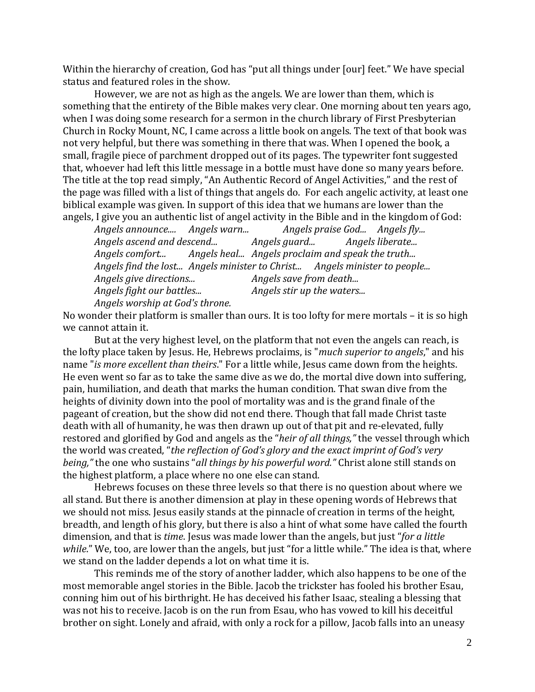Within the hierarchy of creation, God has "put all things under [our] feet." We have special status and featured roles in the show.

However, we are not as high as the angels. We are lower than them, which is something that the entirety of the Bible makes very clear. One morning about ten years ago, when I was doing some research for a sermon in the church library of First Presbyterian Church in Rocky Mount, NC, I came across a little book on angels. The text of that book was not very helpful, but there was something in there that was. When I opened the book, a small, fragile piece of parchment dropped out of its pages. The typewriter font suggested that, whoever had left this little message in a bottle must have done so many years before. The title at the top read simply, "An Authentic Record of Angel Activities," and the rest of the page was filled with a list of things that angels do. For each angelic activity, at least one biblical example was given. In support of this idea that we humans are lower than the angels, I give you an authentic list of angel activity in the Bible and in the kingdom of God:

*Angels announce.... Angels warn... Angels praise God... Angels fly... Angels ascend and descend... Angels guard... Angels liberate... Angels comfort... Angels heal... Angels proclaim and speak the truth... Angels find the lost... Angels minister to Christ... Angels minister to people... Angels give directions... Angels save from death... Angels fight our battles... Angels stir up the waters... Angels worship at God's throne.*

No wonder their platform is smaller than ours. It is too lofty for mere mortals – it is so high we cannot attain it.

But at the very highest level, on the platform that not even the angels can reach, is the lofty place taken by Jesus. He, Hebrews proclaims, is "*much superior to angels*," and his name "*is more excellent than theirs*." For a little while, Jesus came down from the heights. He even went so far as to take the same dive as we do, the mortal dive down into suffering, pain, humiliation, and death that marks the human condition. That swan dive from the heights of divinity down into the pool of mortality was and is the grand finale of the pageant of creation, but the show did not end there. Though that fall made Christ taste death with all of humanity, he was then drawn up out of that pit and re-elevated, fully restored and glorified by God and angels as the "*heir of all things,"* the vessel through which the world was created, "*the reflection of God's glory and the exact imprint of God's very being,"* the one who sustains "*all things by his powerful word."* Christ alone still stands on the highest platform, a place where no one else can stand.

Hebrews focuses on these three levels so that there is no question about where we all stand. But there is another dimension at play in these opening words of Hebrews that we should not miss. Jesus easily stands at the pinnacle of creation in terms of the height, breadth, and length of his glory, but there is also a hint of what some have called the fourth dimension, and that is *time*. Jesus was made lower than the angels, but just "*for a little while*." We, too, are lower than the angels, but just "for a little while." The idea is that, where we stand on the ladder depends a lot on what time it is.

This reminds me of the story of another ladder, which also happens to be one of the most memorable angel stories in the Bible. Jacob the trickster has fooled his brother Esau, conning him out of his birthright. He has deceived his father Isaac, stealing a blessing that was not his to receive. Jacob is on the run from Esau, who has vowed to kill his deceitful brother on sight. Lonely and afraid, with only a rock for a pillow, Jacob falls into an uneasy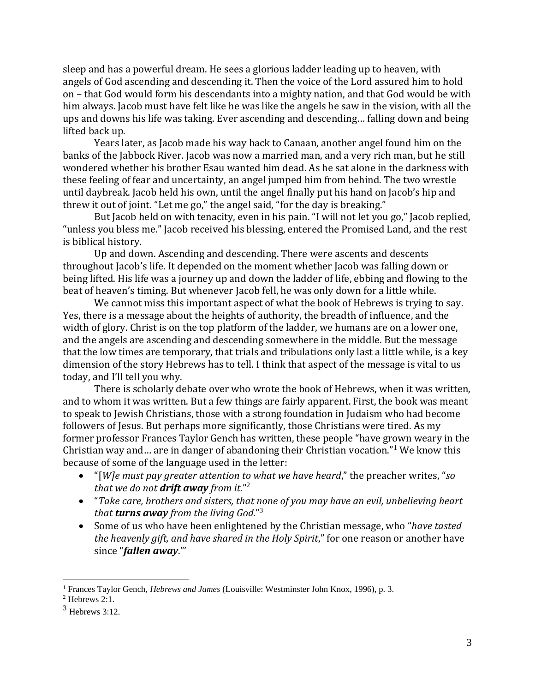sleep and has a powerful dream. He sees a glorious ladder leading up to heaven, with angels of God ascending and descending it. Then the voice of the Lord assured him to hold on – that God would form his descendants into a mighty nation, and that God would be with him always. Jacob must have felt like he was like the angels he saw in the vision, with all the ups and downs his life was taking. Ever ascending and descending… falling down and being lifted back up.

Years later, as Jacob made his way back to Canaan, another angel found him on the banks of the Jabbock River. Jacob was now a married man, and a very rich man, but he still wondered whether his brother Esau wanted him dead. As he sat alone in the darkness with these feeling of fear and uncertainty, an angel jumped him from behind. The two wrestle until daybreak. Jacob held his own, until the angel finally put his hand on Jacob's hip and threw it out of joint. "Let me go," the angel said, "for the day is breaking."

But Jacob held on with tenacity, even in his pain. "I will not let you go," Jacob replied, "unless you bless me." Jacob received his blessing, entered the Promised Land, and the rest is biblical history.

Up and down. Ascending and descending. There were ascents and descents throughout Jacob's life. It depended on the moment whether Jacob was falling down or being lifted. His life was a journey up and down the ladder of life, ebbing and flowing to the beat of heaven's timing. But whenever Jacob fell, he was only down for a little while.

We cannot miss this important aspect of what the book of Hebrews is trying to say. Yes, there is a message about the heights of authority, the breadth of influence, and the width of glory. Christ is on the top platform of the ladder, we humans are on a lower one, and the angels are ascending and descending somewhere in the middle. But the message that the low times are temporary, that trials and tribulations only last a little while, is a key dimension of the story Hebrews has to tell. I think that aspect of the message is vital to us today, and I'll tell you why.

There is scholarly debate over who wrote the book of Hebrews, when it was written, and to whom it was written. But a few things are fairly apparent. First, the book was meant to speak to Jewish Christians, those with a strong foundation in Judaism who had become followers of Jesus. But perhaps more significantly, those Christians were tired. As my former professor Frances Taylor Gench has written, these people "have grown weary in the Christian way and… are in danger of abandoning their Christian vocation."<sup>1</sup> We know this because of some of the language used in the letter:

- "[*W]e must pay greater attention to what we have heard*," the preacher writes, "*so that we do not drift away from it.*" 2
- "*Take care, brothers and sisters, that none of you may have an evil, unbelieving heart that turns away from the living God.*" 3
- Some of us who have been enlightened by the Christian message, who "*have tasted the heavenly gift, and have shared in the Holy Spirit*," for one reason or another have since "*fallen away*."'

<sup>1</sup> Frances Taylor Gench, *Hebrews and James* (Louisville: Westminster John Knox, 1996), p. 3.

 $2$  Hebrews 2:1.

 $3$  Hebrews 3:12.